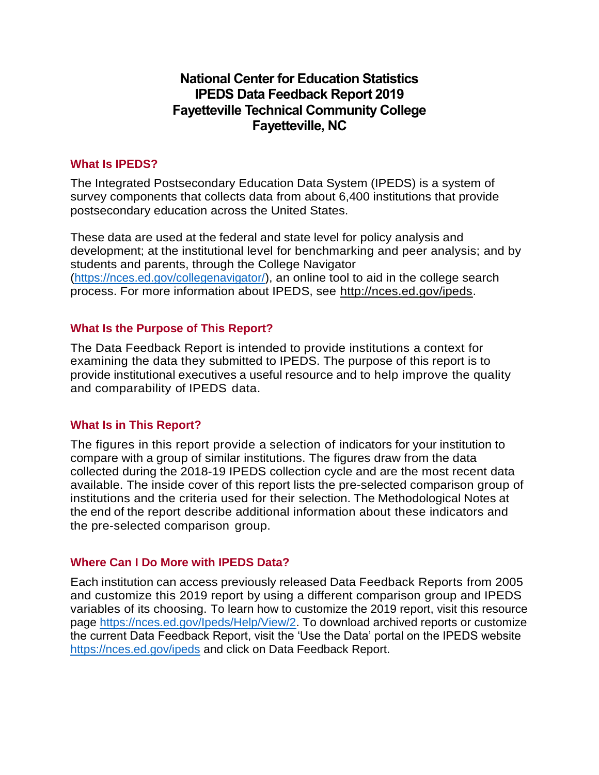# **National Center for Education Statistics IPEDS Data Feedback Report 2019 Fayetteville Technical Community College Fayetteville, NC**

## **What Is IPEDS?**

The Integrated Postsecondary Education Data System (IPEDS) is a system of survey components that collects data from about 6,400 institutions that provide postsecondary education across the United States.

These data are used at the federal and state level for policy analysis and development; at the institutional level for benchmarking and peer analysis; and by students and parents, through the College Navigator [\(https://nces.ed.gov/collegenavigator/\)](https://nces.ed.gov/collegenavigator/), an online tool to aid in the college search process. For more information about IPEDS, see [http://nces.ed.gov/ipeds.](http://nces.ed.gov/ipeds)

### **What Is the Purpose of This Report?**

The Data Feedback Report is intended to provide institutions a context for examining the data they submitted to IPEDS. The purpose of this report is to provide institutional executives a useful resource and to help improve the quality and comparability of IPEDS data.

## **What Is in This Report?**

The figures in this report provide a selection of indicators for your institution to compare with a group of similar institutions. The figures draw from the data collected during the 2018-19 IPEDS collection cycle and are the most recent data available. The inside cover of this report lists the pre-selected comparison group of institutions and the criteria used for their selection. The Methodological Notes at the end of the report describe additional information about these indicators and the pre-selected comparison group.

## **Where Can I Do More with IPEDS Data?**

Each institution can access previously released Data Feedback Reports from 2005 and customize this 2019 report by using a different comparison group and IPEDS variables of its choosing. To learn how to customize the 2019 report, visit this resource page https://nces.ed.gov/lpeds/Help/View/2. To download archived reports or customize the current Data Feedback Report, visit the 'Use the Data' portal on the IPEDS website <https://nces.ed.gov/ipeds> and click on Data Feedback Report.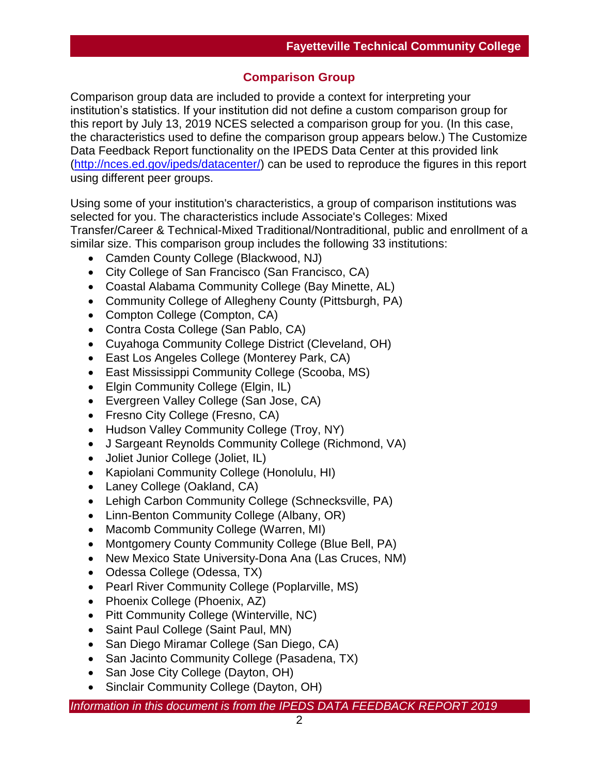## **Comparison Group**

Comparison group data are included to provide a context for interpreting your institution's statistics. If your institution did not define a custom comparison group for this report by July 13, 2019 NCES selected a comparison group for you. (In this case, the characteristics used to define the comparison group appears below.) The Customize Data Feedback Report functionality on the IPEDS Data Center at this provided link [\(http://nces.ed.gov/ipeds/datacenter/\)](http://nces.ed.gov/ipeds/datacenter/) can be used to reproduce the figures in this report using different peer groups.

Using some of your institution's characteristics, a group of comparison institutions was selected for you. The characteristics include Associate's Colleges: Mixed Transfer/Career & Technical-Mixed Traditional/Nontraditional, public and enrollment of a similar size. This comparison group includes the following 33 institutions:

- Camden County College (Blackwood, NJ)
- City College of San Francisco (San Francisco, CA)
- Coastal Alabama Community College (Bay Minette, AL)
- Community College of Allegheny County (Pittsburgh, PA)
- Compton College (Compton, CA)
- Contra Costa College (San Pablo, CA)
- Cuyahoga Community College District (Cleveland, OH)
- East Los Angeles College (Monterey Park, CA)
- East Mississippi Community College (Scooba, MS)
- Elgin Community College (Elgin, IL)
- Evergreen Valley College (San Jose, CA)
- Fresno City College (Fresno, CA)
- Hudson Valley Community College (Troy, NY)
- J Sargeant Reynolds Community College (Richmond, VA)
- Joliet Junior College (Joliet, IL)
- Kapiolani Community College (Honolulu, HI)
- Laney College (Oakland, CA)
- Lehigh Carbon Community College (Schnecksville, PA)
- Linn-Benton Community College (Albany, OR)
- Macomb Community College (Warren, MI)
- Montgomery County Community College (Blue Bell, PA)
- New Mexico State University-Dona Ana (Las Cruces, NM)
- Odessa College (Odessa, TX)
- Pearl River Community College (Poplarville, MS)
- Phoenix College (Phoenix, AZ)
- Pitt Community College (Winterville, NC)
- Saint Paul College (Saint Paul, MN)
- San Diego Miramar College (San Diego, CA)
- San Jacinto Community College (Pasadena, TX)
- San Jose City College (Dayton, OH)
- Sinclair Community College (Dayton, OH)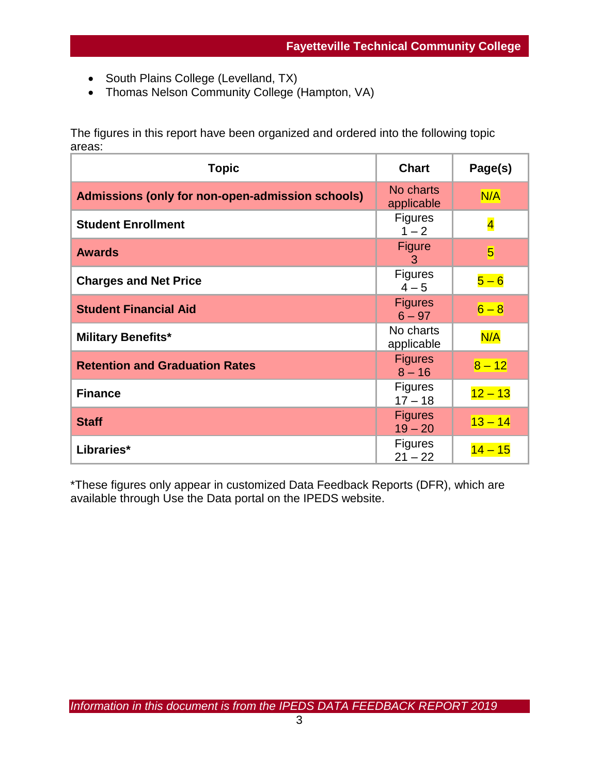- South Plains College (Levelland, TX)
- Thomas Nelson Community College (Hampton, VA)

The figures in this report have been organized and ordered into the following topic areas:

| <b>Topic</b>                                     | <b>Chart</b>                | Page(s)                 |
|--------------------------------------------------|-----------------------------|-------------------------|
| Admissions (only for non-open-admission schools) | No charts<br>applicable     | N/A                     |
| <b>Student Enrollment</b>                        | <b>Figures</b><br>$1 - 2$   | $\overline{\mathbf{4}}$ |
| <b>Awards</b>                                    | <b>Figure</b><br>3          | $\overline{5}$          |
| <b>Charges and Net Price</b>                     | <b>Figures</b><br>$4 - 5$   | $5-6$                   |
| <b>Student Financial Aid</b>                     | <b>Figures</b><br>$6 - 97$  | $6 - 8$                 |
| <b>Military Benefits*</b>                        | No charts<br>applicable     | N/A                     |
| <b>Retention and Graduation Rates</b>            | <b>Figures</b><br>$8 - 16$  | $8 - 12$                |
| <b>Finance</b>                                   | <b>Figures</b><br>$17 - 18$ | $12 - 13$               |
| <b>Staff</b>                                     | <b>Figures</b><br>$19 - 20$ | $13 - 14$               |
| Libraries*                                       | <b>Figures</b><br>$21 - 22$ | <mark>14 – 15</mark>    |

\*These figures only appear in customized Data Feedback Reports (DFR), which are available through Use the Data portal on the IPEDS website.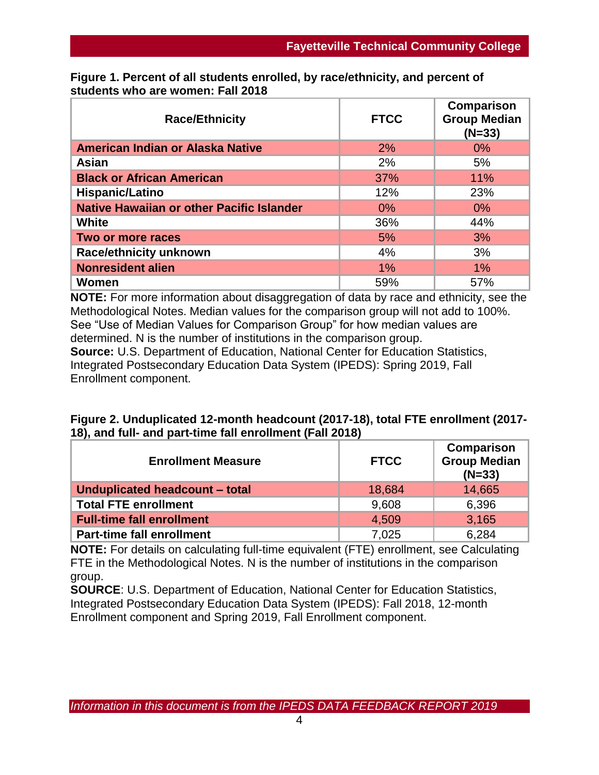| <b>Race/Ethnicity</b>                            | <b>FTCC</b> | Comparison<br><b>Group Median</b><br>$(N=33)$ |
|--------------------------------------------------|-------------|-----------------------------------------------|
| American Indian or Alaska Native                 | 2%          | $0\%$                                         |
| Asian                                            | 2%          | 5%                                            |
| <b>Black or African American</b>                 | 37%         | 11%                                           |
| Hispanic/Latino                                  | 12%         | 23%                                           |
| <b>Native Hawaiian or other Pacific Islander</b> | 0%          | $0\%$                                         |
| <b>White</b>                                     | 36%         | 44%                                           |
| Two or more races                                | 5%          | 3%                                            |
| <b>Race/ethnicity unknown</b>                    | 4%          | 3%                                            |
| <b>Nonresident alien</b>                         | 1%          | $1\%$                                         |
| Women                                            | 59%         | 57%                                           |

**Figure 1. Percent of all students enrolled, by race/ethnicity, and percent of students who are women: Fall 2018**

**NOTE:** For more information about disaggregation of data by race and ethnicity, see the Methodological Notes. Median values for the comparison group will not add to 100%. See "Use of Median Values for Comparison Group" for how median values are determined. N is the number of institutions in the comparison group. **Source:** U.S. Department of Education, National Center for Education Statistics, Integrated Postsecondary Education Data System (IPEDS): Spring 2019, Fall Enrollment component.

| Figure 2. Unduplicated 12-month headcount (2017-18), total FTE enrollment (2017- |  |
|----------------------------------------------------------------------------------|--|
| 18), and full- and part-time fall enrollment (Fall 2018)                         |  |

| <b>Enrollment Measure</b>        | <b>FTCC</b> | Comparison<br><b>Group Median</b><br>$(N=33)$ |
|----------------------------------|-------------|-----------------------------------------------|
| Unduplicated headcount - total   | 18,684      | 14,665                                        |
| <b>Total FTE enrollment</b>      | 9,608       | 6,396                                         |
| <b>Full-time fall enrollment</b> | 4,509       | 3.165                                         |
| <b>Part-time fall enrollment</b> | 7,025       | 6,284                                         |

**NOTE:** For details on calculating full-time equivalent (FTE) enrollment, see Calculating FTE in the Methodological Notes. N is the number of institutions in the comparison group.

**SOURCE**: U.S. Department of Education, National Center for Education Statistics, Integrated Postsecondary Education Data System (IPEDS): Fall 2018, 12-month Enrollment component and Spring 2019, Fall Enrollment component.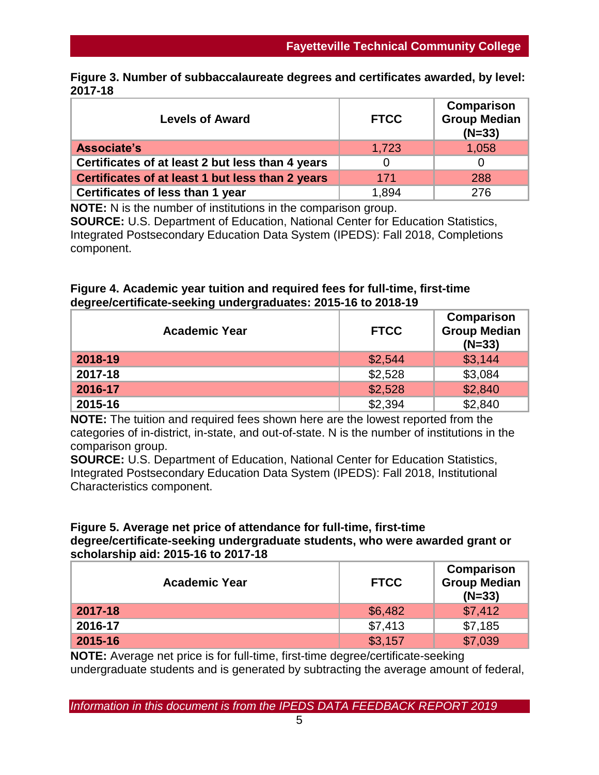|         | Figure 3. Number of subbaccalaureate degrees and certificates awarded, by level: |  |  |
|---------|----------------------------------------------------------------------------------|--|--|
| 2017-18 |                                                                                  |  |  |

| <b>Levels of Award</b>                           | <b>FTCC</b> | <b>Comparison</b><br><b>Group Median</b><br>$(N=33)$ |
|--------------------------------------------------|-------------|------------------------------------------------------|
| Associate's                                      | 1,723       | 1,058                                                |
| Certificates of at least 2 but less than 4 years |             |                                                      |
| Certificates of at least 1 but less than 2 years | 171         | 288                                                  |
| Certificates of less than 1 year                 | 1.894       | 276                                                  |

**NOTE:** N is the number of institutions in the comparison group. **SOURCE:** U.S. Department of Education, National Center for Education Statistics, Integrated Postsecondary Education Data System (IPEDS): Fall 2018, Completions component.

## **Figure 4. Academic year tuition and required fees for full-time, first-time degree/certificate-seeking undergraduates: 2015-16 to 2018-19**

| <b>Academic Year</b> | <b>FTCC</b> | Comparison<br><b>Group Median</b><br>$(N=33)$ |
|----------------------|-------------|-----------------------------------------------|
| 2018-19              | \$2,544     | \$3,144                                       |
| 2017-18              | \$2,528     | \$3,084                                       |
| 2016-17              | \$2,528     | \$2,840                                       |
| 2015-16              | \$2,394     | \$2,840                                       |

**NOTE:** The tuition and required fees shown here are the lowest reported from the categories of in-district, in-state, and out-of-state. N is the number of institutions in the comparison group.

**SOURCE:** U.S. Department of Education, National Center for Education Statistics, Integrated Postsecondary Education Data System (IPEDS): Fall 2018, Institutional Characteristics component.

## **Figure 5. Average net price of attendance for full-time, first-time degree/certificate-seeking undergraduate students, who were awarded grant or scholarship aid: 2015-16 to 2017-18**

| <b>Academic Year</b> | <b>FTCC</b> | Comparison<br><b>Group Median</b><br>$(N=33)$ |
|----------------------|-------------|-----------------------------------------------|
| 2017-18              | \$6,482     | \$7,412                                       |
| 2016-17              | \$7,413     | \$7,185                                       |
| 2015-16              | \$3,157     | \$7,039                                       |

**NOTE:** Average net price is for full-time, first-time degree/certificate-seeking undergraduate students and is generated by subtracting the average amount of federal,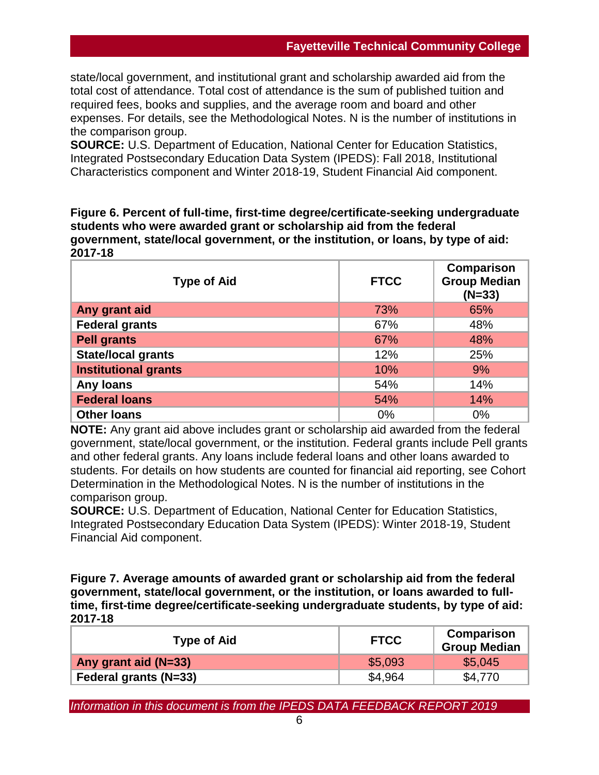state/local government, and institutional grant and scholarship awarded aid from the total cost of attendance. Total cost of attendance is the sum of published tuition and required fees, books and supplies, and the average room and board and other expenses. For details, see the Methodological Notes. N is the number of institutions in the comparison group.

**SOURCE:** U.S. Department of Education, National Center for Education Statistics, Integrated Postsecondary Education Data System (IPEDS): Fall 2018, Institutional Characteristics component and Winter 2018-19, Student Financial Aid component.

**Figure 6. Percent of full-time, first-time degree/certificate-seeking undergraduate students who were awarded grant or scholarship aid from the federal government, state/local government, or the institution, or loans, by type of aid: 2017-18**

| <b>Type of Aid</b>          | <b>FTCC</b> | <b>Comparison</b><br><b>Group Median</b><br>$(N=33)$ |
|-----------------------------|-------------|------------------------------------------------------|
| Any grant aid               | 73%         | 65%                                                  |
| <b>Federal grants</b>       | 67%         | 48%                                                  |
| <b>Pell grants</b>          | 67%         | 48%                                                  |
| <b>State/local grants</b>   | 12%         | 25%                                                  |
| <b>Institutional grants</b> | 10%         | 9%                                                   |
| Any loans                   | 54%         | 14%                                                  |
| <b>Federal loans</b>        | 54%         | 14%                                                  |
| <b>Other loans</b>          | 0%          | 0%                                                   |

**NOTE:** Any grant aid above includes grant or scholarship aid awarded from the federal government, state/local government, or the institution. Federal grants include Pell grants and other federal grants. Any loans include federal loans and other loans awarded to students. For details on how students are counted for financial aid reporting, see Cohort Determination in the Methodological Notes. N is the number of institutions in the comparison group.

**SOURCE:** U.S. Department of Education, National Center for Education Statistics, Integrated Postsecondary Education Data System (IPEDS): Winter 2018-19, Student Financial Aid component.

**Figure 7. Average amounts of awarded grant or scholarship aid from the federal government, state/local government, or the institution, or loans awarded to fulltime, first-time degree/certificate-seeking undergraduate students, by type of aid: 2017-18**

| <b>Type of Aid</b>           | <b>FTCC</b> | Comparison<br>Group Median |
|------------------------------|-------------|----------------------------|
| Any grant aid (N=33)         | \$5,093     | \$5,045                    |
| <b>Federal grants (N=33)</b> | \$4,964     | \$4.770                    |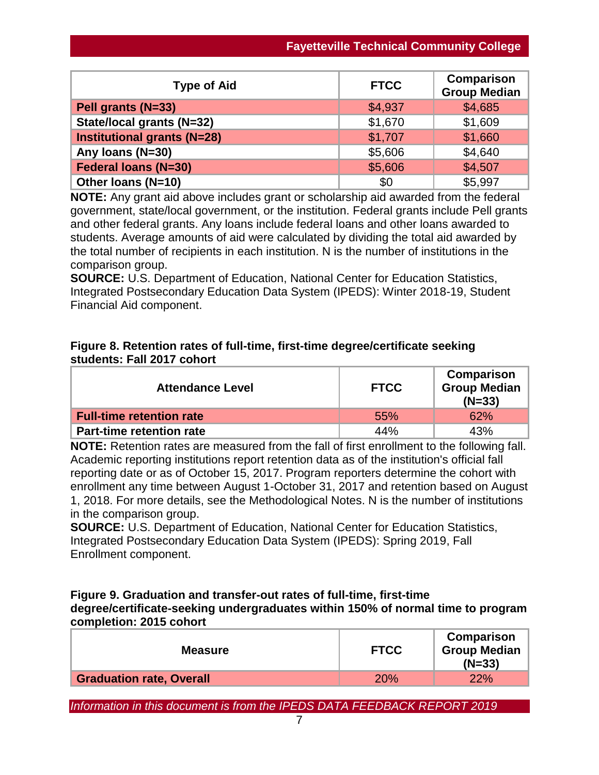| <b>Type of Aid</b>                 | <b>FTCC</b> | Comparison<br><b>Group Median</b> |
|------------------------------------|-------------|-----------------------------------|
| Pell grants (N=33)                 | \$4,937     | \$4,685                           |
| State/local grants (N=32)          | \$1,670     | \$1,609                           |
| <b>Institutional grants (N=28)</b> | \$1,707     | \$1,660                           |
| Any Ioans (N=30)                   | \$5,606     | \$4,640                           |
| <b>Federal loans (N=30)</b>        | \$5,606     | \$4,507                           |
| Other Ioans (N=10)                 | \$0         | \$5,997                           |

**NOTE:** Any grant aid above includes grant or scholarship aid awarded from the federal government, state/local government, or the institution. Federal grants include Pell grants and other federal grants. Any loans include federal loans and other loans awarded to students. Average amounts of aid were calculated by dividing the total aid awarded by the total number of recipients in each institution. N is the number of institutions in the comparison group.

**SOURCE:** U.S. Department of Education, National Center for Education Statistics, Integrated Postsecondary Education Data System (IPEDS): Winter 2018-19, Student Financial Aid component.

## **Figure 8. Retention rates of full-time, first-time degree/certificate seeking students: Fall 2017 cohort**

| <b>Attendance Level</b>         | <b>FTCC</b> | Comparison<br><b>Group Median</b><br>$(N=33)$ |
|---------------------------------|-------------|-----------------------------------------------|
| <b>Full-time retention rate</b> | 55%         | 62%                                           |
| <b>Part-time retention rate</b> | 44%         | 43%                                           |

**NOTE:** Retention rates are measured from the fall of first enrollment to the following fall. Academic reporting institutions report retention data as of the institution's official fall reporting date or as of October 15, 2017. Program reporters determine the cohort with enrollment any time between August 1-October 31, 2017 and retention based on August 1, 2018. For more details, see the Methodological Notes. N is the number of institutions in the comparison group.

**SOURCE:** U.S. Department of Education, National Center for Education Statistics, Integrated Postsecondary Education Data System (IPEDS): Spring 2019, Fall Enrollment component.

## **Figure 9. Graduation and transfer-out rates of full-time, first-time degree/certificate-seeking undergraduates within 150% of normal time to program completion: 2015 cohort**

| $(N=33)$                                      | <b>Measure</b> | <b>Group Median</b><br><b>FTCC</b> |
|-----------------------------------------------|----------------|------------------------------------|
| <b>Graduation rate, Overall</b><br>22%<br>20% |                |                                    |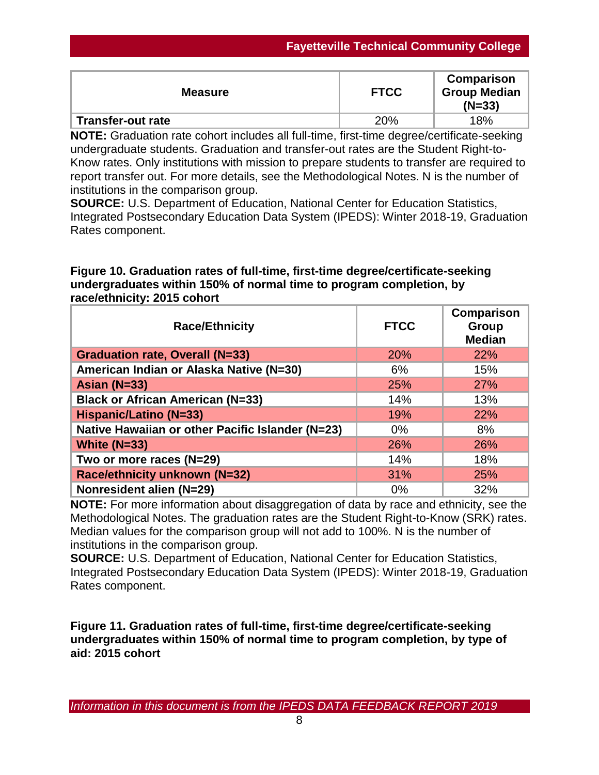| <b>Measure</b>           | <b>FTCC</b> | Comparison<br><b>Group Median</b><br>$(N=33)$ |
|--------------------------|-------------|-----------------------------------------------|
| <b>Transfer-out rate</b> | 20%         | 18%                                           |

**NOTE:** Graduation rate cohort includes all full-time, first-time degree/certificate-seeking undergraduate students. Graduation and transfer-out rates are the Student Right-to-Know rates. Only institutions with mission to prepare students to transfer are required to report transfer out. For more details, see the Methodological Notes. N is the number of institutions in the comparison group.

**SOURCE:** U.S. Department of Education, National Center for Education Statistics, Integrated Postsecondary Education Data System (IPEDS): Winter 2018-19, Graduation Rates component.

## **Figure 10. Graduation rates of full-time, first-time degree/certificate-seeking undergraduates within 150% of normal time to program completion, by race/ethnicity: 2015 cohort**

| <b>Race/Ethnicity</b>                            | <b>FTCC</b> | <b>Comparison</b><br>Group<br><b>Median</b> |
|--------------------------------------------------|-------------|---------------------------------------------|
| <b>Graduation rate, Overall (N=33)</b>           | 20%         | 22%                                         |
| American Indian or Alaska Native (N=30)          | 6%          | 15%                                         |
| Asian $(N=33)$                                   | 25%         | <b>27%</b>                                  |
| <b>Black or African American (N=33)</b>          | 14%         | 13%                                         |
| <b>Hispanic/Latino (N=33)</b>                    | 19%         | 22%                                         |
| Native Hawaiian or other Pacific Islander (N=23) | $0\%$       | 8%                                          |
| White $(N=33)$                                   | 26%         | 26%                                         |
| Two or more races (N=29)                         | 14%         | 18%                                         |
| Race/ethnicity unknown (N=32)                    | 31%         | 25%                                         |
| Nonresident alien (N=29)                         | $0\%$       | 32%                                         |

**NOTE:** For more information about disaggregation of data by race and ethnicity, see the Methodological Notes. The graduation rates are the Student Right-to-Know (SRK) rates. Median values for the comparison group will not add to 100%. N is the number of institutions in the comparison group.

**SOURCE:** U.S. Department of Education, National Center for Education Statistics, Integrated Postsecondary Education Data System (IPEDS): Winter 2018-19, Graduation Rates component.

**Figure 11. Graduation rates of full-time, first-time degree/certificate-seeking undergraduates within 150% of normal time to program completion, by type of aid: 2015 cohort**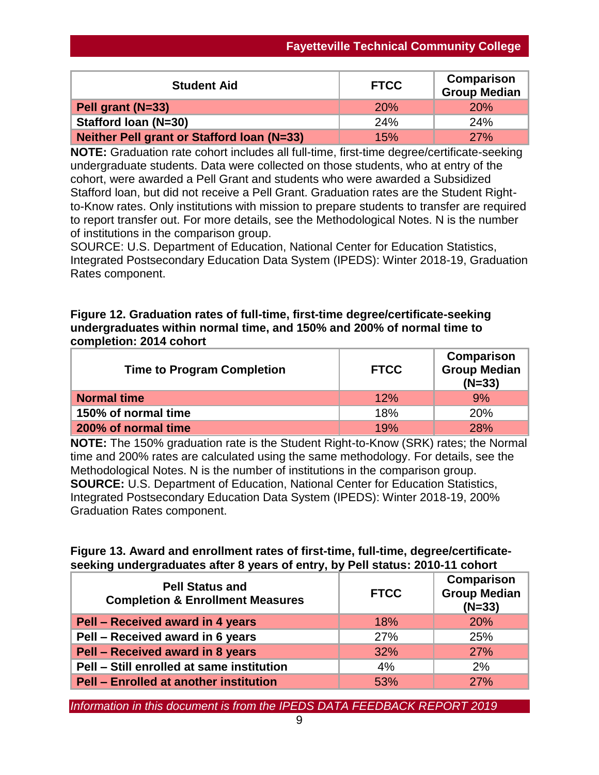| <b>Student Aid</b>                                | <b>FTCC</b> | Comparison<br><b>Group Median</b> |
|---------------------------------------------------|-------------|-----------------------------------|
| Pell grant (N=33)                                 | <b>20%</b>  | <b>20%</b>                        |
| Stafford Ioan (N=30)                              | 24%         | 24%                               |
| <b>Neither Pell grant or Stafford Ioan (N=33)</b> | 15%         | <b>27%</b>                        |

**NOTE:** Graduation rate cohort includes all full-time, first-time degree/certificate-seeking undergraduate students. Data were collected on those students, who at entry of the cohort, were awarded a Pell Grant and students who were awarded a Subsidized Stafford loan, but did not receive a Pell Grant. Graduation rates are the Student Rightto-Know rates. Only institutions with mission to prepare students to transfer are required to report transfer out. For more details, see the Methodological Notes. N is the number of institutions in the comparison group.

SOURCE: U.S. Department of Education, National Center for Education Statistics, Integrated Postsecondary Education Data System (IPEDS): Winter 2018-19, Graduation Rates component.

## **Figure 12. Graduation rates of full-time, first-time degree/certificate-seeking undergraduates within normal time, and 150% and 200% of normal time to completion: 2014 cohort**

| <b>Time to Program Completion</b> | <b>FTCC</b> | Comparison<br><b>Group Median</b><br>$(N=33)$ |
|-----------------------------------|-------------|-----------------------------------------------|
| <b>Normal time</b>                | 12%         | 9%                                            |
| 150% of normal time               | 18%         | <b>20%</b>                                    |
| 200% of normal time               | 19%         | <b>28%</b>                                    |

**NOTE:** The 150% graduation rate is the Student Right-to-Know (SRK) rates; the Normal time and 200% rates are calculated using the same methodology. For details, see the Methodological Notes. N is the number of institutions in the comparison group. **SOURCE:** U.S. Department of Education, National Center for Education Statistics, Integrated Postsecondary Education Data System (IPEDS): Winter 2018-19, 200% Graduation Rates component.

## **Figure 13. Award and enrollment rates of first-time, full-time, degree/certificateseeking undergraduates after 8 years of entry, by Pell status: 2010-11 cohort**

| <b>Pell Status and</b><br><b>Completion &amp; Enrollment Measures</b> | <b>FTCC</b> | Comparison<br><b>Group Median</b><br>$(N=33)$ |
|-----------------------------------------------------------------------|-------------|-----------------------------------------------|
| Pell - Received award in 4 years                                      | 18%         | 20%                                           |
| Pell - Received award in 6 years                                      | 27%         | 25%                                           |
| Pell - Received award in 8 years                                      | 32%         | <b>27%</b>                                    |
| Pell - Still enrolled at same institution                             | 4%          | 2%                                            |
| <b>Pell - Enrolled at another institution</b>                         | 53%         | 27%                                           |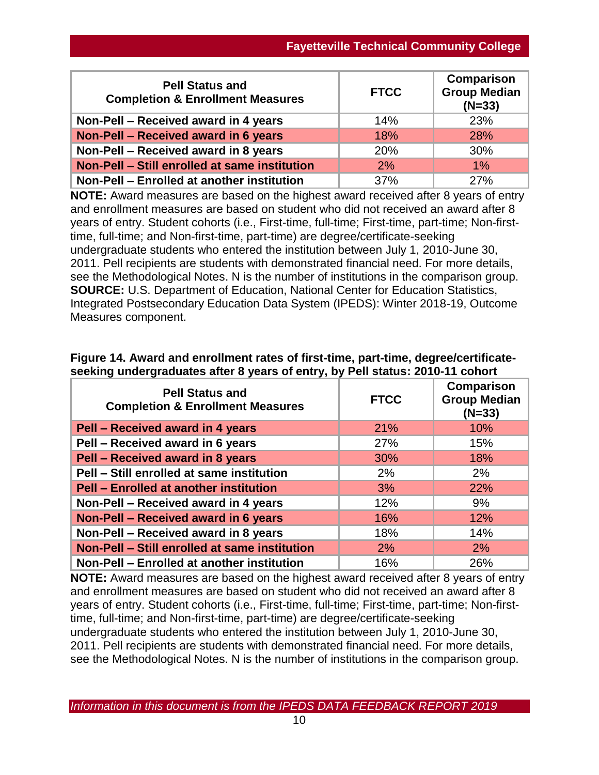| <b>Pell Status and</b><br><b>Completion &amp; Enrollment Measures</b> | <b>FTCC</b> | Comparison<br><b>Group Median</b><br>$(N=33)$ |
|-----------------------------------------------------------------------|-------------|-----------------------------------------------|
| Non-Pell – Received award in 4 years                                  | 14%         | 23%                                           |
| Non-Pell - Received award in 6 years                                  | 18%         | 28%                                           |
| Non-Pell - Received award in 8 years                                  | 20%         | 30%                                           |
| Non-Pell - Still enrolled at same institution                         | 2%          | 1%                                            |
| Non-Pell - Enrolled at another institution                            | 37%         | 27%                                           |

**NOTE:** Award measures are based on the highest award received after 8 years of entry and enrollment measures are based on student who did not received an award after 8 years of entry. Student cohorts (i.e., First-time, full-time; First-time, part-time; Non-firsttime, full-time; and Non-first-time, part-time) are degree/certificate-seeking undergraduate students who entered the institution between July 1, 2010-June 30, 2011. Pell recipients are students with demonstrated financial need. For more details, see the Methodological Notes. N is the number of institutions in the comparison group. **SOURCE:** U.S. Department of Education, National Center for Education Statistics, Integrated Postsecondary Education Data System (IPEDS): Winter 2018-19, Outcome Measures component.

|  |  | Figure 14. Award and enrollment rates of first-time, part-time, degree/certificate- |  |
|--|--|-------------------------------------------------------------------------------------|--|
|  |  | seeking undergraduates after 8 years of entry, by Pell status: 2010-11 cohort       |  |

| <b>Pell Status and</b><br><b>Completion &amp; Enrollment Measures</b> | <b>FTCC</b> | <b>Comparison</b><br><b>Group Median</b><br>$(N=33)$ |
|-----------------------------------------------------------------------|-------------|------------------------------------------------------|
| Pell - Received award in 4 years                                      | 21%         | 10%                                                  |
| Pell - Received award in 6 years                                      | 27%         | 15%                                                  |
| Pell - Received award in 8 years                                      | 30%         | 18%                                                  |
| Pell - Still enrolled at same institution                             | 2%          | 2%                                                   |
| <b>Pell - Enrolled at another institution</b>                         | 3%          | 22%                                                  |
| Non-Pell - Received award in 4 years                                  | 12%         | 9%                                                   |
| Non-Pell - Received award in 6 years                                  | 16%         | 12%                                                  |
| Non-Pell - Received award in 8 years                                  | 18%         | 14%                                                  |
| Non-Pell - Still enrolled at same institution                         | 2%          | 2%                                                   |
| Non-Pell - Enrolled at another institution                            | 16%         | 26%                                                  |

**NOTE:** Award measures are based on the highest award received after 8 years of entry and enrollment measures are based on student who did not received an award after 8 years of entry. Student cohorts (i.e., First-time, full-time; First-time, part-time; Non-firsttime, full-time; and Non-first-time, part-time) are degree/certificate-seeking undergraduate students who entered the institution between July 1, 2010-June 30, 2011. Pell recipients are students with demonstrated financial need. For more details, see the Methodological Notes. N is the number of institutions in the comparison group.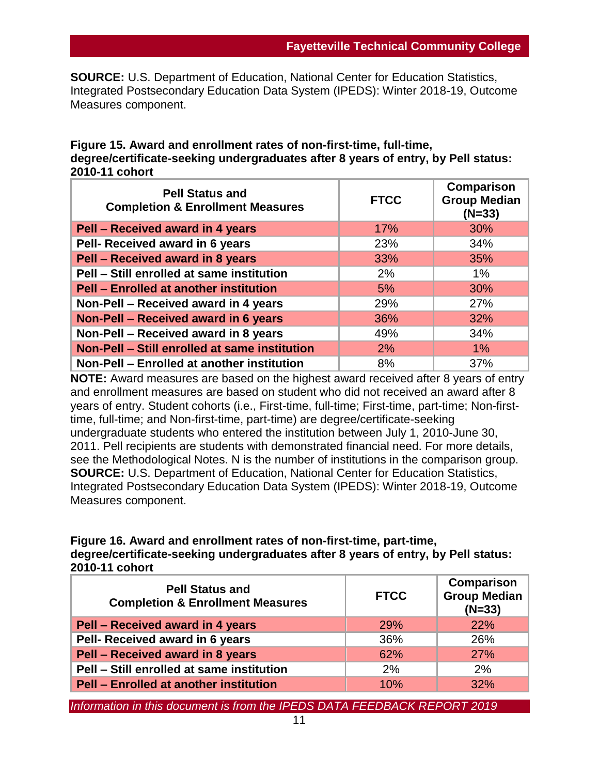**SOURCE:** U.S. Department of Education, National Center for Education Statistics, Integrated Postsecondary Education Data System (IPEDS): Winter 2018-19, Outcome Measures component.

### **Figure 15. Award and enrollment rates of non-first-time, full-time, degree/certificate-seeking undergraduates after 8 years of entry, by Pell status: 2010-11 cohort**

| <b>Pell Status and</b><br><b>Completion &amp; Enrollment Measures</b> | <b>FTCC</b> | Comparison<br><b>Group Median</b><br>$(N=33)$ |
|-----------------------------------------------------------------------|-------------|-----------------------------------------------|
| Pell - Received award in 4 years                                      | 17%         | 30%                                           |
| Pell- Received award in 6 years                                       | 23%         | 34%                                           |
| Pell - Received award in 8 years                                      | 33%         | 35%                                           |
| Pell - Still enrolled at same institution                             | 2%          | $1\%$                                         |
| <b>Pell - Enrolled at another institution</b>                         | 5%          | 30%                                           |
| Non-Pell - Received award in 4 years                                  | 29%         | 27%                                           |
| Non-Pell - Received award in 6 years                                  | 36%         | 32%                                           |
| Non-Pell - Received award in 8 years                                  | 49%         | 34%                                           |
| Non-Pell - Still enrolled at same institution                         | 2%          | $1\%$                                         |
| Non-Pell - Enrolled at another institution                            | 8%          | 37%                                           |

**NOTE:** Award measures are based on the highest award received after 8 years of entry and enrollment measures are based on student who did not received an award after 8 years of entry. Student cohorts (i.e., First-time, full-time; First-time, part-time; Non-firsttime, full-time; and Non-first-time, part-time) are degree/certificate-seeking undergraduate students who entered the institution between July 1, 2010-June 30, 2011. Pell recipients are students with demonstrated financial need. For more details, see the Methodological Notes. N is the number of institutions in the comparison group. **SOURCE:** U.S. Department of Education, National Center for Education Statistics, Integrated Postsecondary Education Data System (IPEDS): Winter 2018-19, Outcome Measures component.

## **Figure 16. Award and enrollment rates of non-first-time, part-time, degree/certificate-seeking undergraduates after 8 years of entry, by Pell status: 2010-11 cohort**

| <b>Pell Status and</b><br><b>Completion &amp; Enrollment Measures</b> | <b>FTCC</b> | Comparison<br><b>Group Median</b><br>$(N=33)$ |
|-----------------------------------------------------------------------|-------------|-----------------------------------------------|
| Pell - Received award in 4 years                                      | <b>29%</b>  | <b>22%</b>                                    |
| Pell- Received award in 6 years                                       | 36%         | 26%                                           |
| Pell - Received award in 8 years                                      | 62%         | 27%                                           |
| Pell - Still enrolled at same institution                             | 2%          | 2%                                            |
| <b>Pell - Enrolled at another institution</b>                         | 10%         | 32%                                           |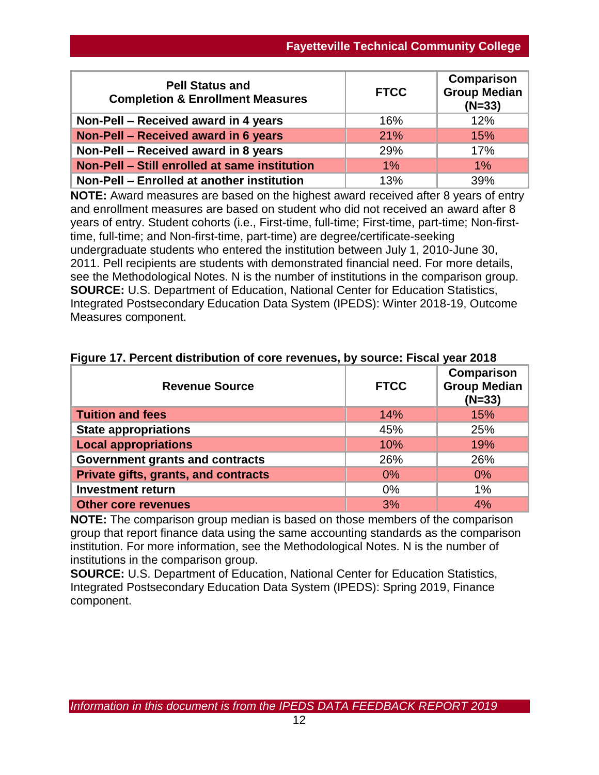| <b>Pell Status and</b><br><b>Completion &amp; Enrollment Measures</b> | <b>FTCC</b> | Comparison<br><b>Group Median</b><br>$(N=33)$ |
|-----------------------------------------------------------------------|-------------|-----------------------------------------------|
| Non-Pell – Received award in 4 years                                  | 16%         | 12%                                           |
| Non-Pell - Received award in 6 years                                  | 21%         | 15%                                           |
| Non-Pell - Received award in 8 years                                  | 29%         | 17%                                           |
| Non-Pell - Still enrolled at same institution                         | 1%          | $1\%$                                         |
| Non-Pell - Enrolled at another institution                            | 13%         | 39%                                           |

**NOTE:** Award measures are based on the highest award received after 8 years of entry and enrollment measures are based on student who did not received an award after 8 years of entry. Student cohorts (i.e., First-time, full-time; First-time, part-time; Non-firsttime, full-time; and Non-first-time, part-time) are degree/certificate-seeking undergraduate students who entered the institution between July 1, 2010-June 30, 2011. Pell recipients are students with demonstrated financial need. For more details, see the Methodological Notes. N is the number of institutions in the comparison group. **SOURCE:** U.S. Department of Education, National Center for Education Statistics, Integrated Postsecondary Education Data System (IPEDS): Winter 2018-19, Outcome Measures component.

| <b>Revenue Source</b>                | <b>FTCC</b> | Comparison<br>Group Median<br>$(N=33)$ |
|--------------------------------------|-------------|----------------------------------------|
| <b>Tuition and fees</b>              | 14%         | 15%                                    |
| <b>State appropriations</b>          | 45%         | 25%                                    |
| <b>Local appropriations</b>          | 10%         | 19%                                    |
| Government grants and contracts      | 26%         | 26%                                    |
| Private gifts, grants, and contracts | $0\%$       | $0\%$                                  |
| <b>Investment return</b>             | 0%          | 1%                                     |
| <b>Other core revenues</b>           | 3%          | 4%                                     |

## **Figure 17. Percent distribution of core revenues, by source: Fiscal year 2018**

**NOTE:** The comparison group median is based on those members of the comparison group that report finance data using the same accounting standards as the comparison institution. For more information, see the Methodological Notes. N is the number of institutions in the comparison group.

**SOURCE:** U.S. Department of Education, National Center for Education Statistics, Integrated Postsecondary Education Data System (IPEDS): Spring 2019, Finance component.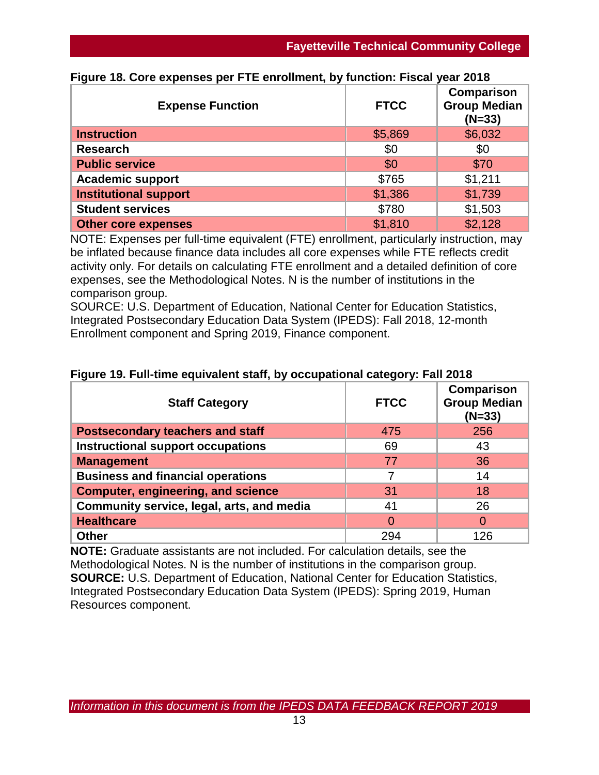| <b>Expense Function</b>      | <b>FTCC</b> | Comparison<br><b>Group Median</b><br>$(N=33)$ |
|------------------------------|-------------|-----------------------------------------------|
| <b>Instruction</b>           | \$5,869     | \$6,032                                       |
| <b>Research</b>              | \$0         | \$0                                           |
| <b>Public service</b>        | \$0         | \$70                                          |
| <b>Academic support</b>      | \$765       | \$1,211                                       |
| <b>Institutional support</b> | \$1,386     | \$1,739                                       |
| <b>Student services</b>      | \$780       | \$1,503                                       |
| <b>Other core expenses</b>   | \$1,810     | \$2,128                                       |

## **Figure 18. Core expenses per FTE enrollment, by function: Fiscal year 2018**

NOTE: Expenses per full-time equivalent (FTE) enrollment, particularly instruction, may be inflated because finance data includes all core expenses while FTE reflects credit activity only. For details on calculating FTE enrollment and a detailed definition of core expenses, see the Methodological Notes. N is the number of institutions in the comparison group.

SOURCE: U.S. Department of Education, National Center for Education Statistics, Integrated Postsecondary Education Data System (IPEDS): Fall 2018, 12-month Enrollment component and Spring 2019, Finance component.

| <b>Staff Category</b>                     | <b>FTCC</b> | Comparison<br><b>Group Median</b><br>$(N=33)$ |
|-------------------------------------------|-------------|-----------------------------------------------|
| <b>Postsecondary teachers and staff</b>   | 475         | 256                                           |
| <b>Instructional support occupations</b>  | 69          | 43                                            |
| <b>Management</b>                         | 77          | 36                                            |
| <b>Business and financial operations</b>  | 7           | 14                                            |
| <b>Computer, engineering, and science</b> | 31          | 18                                            |
| Community service, legal, arts, and media | 41          | 26                                            |
| <b>Healthcare</b>                         | $\Omega$    |                                               |
| <b>Other</b>                              | 294         | 126                                           |

## **Figure 19. Full-time equivalent staff, by occupational category: Fall 2018**

**NOTE:** Graduate assistants are not included. For calculation details, see the Methodological Notes. N is the number of institutions in the comparison group. **SOURCE:** U.S. Department of Education, National Center for Education Statistics, Integrated Postsecondary Education Data System (IPEDS): Spring 2019, Human Resources component.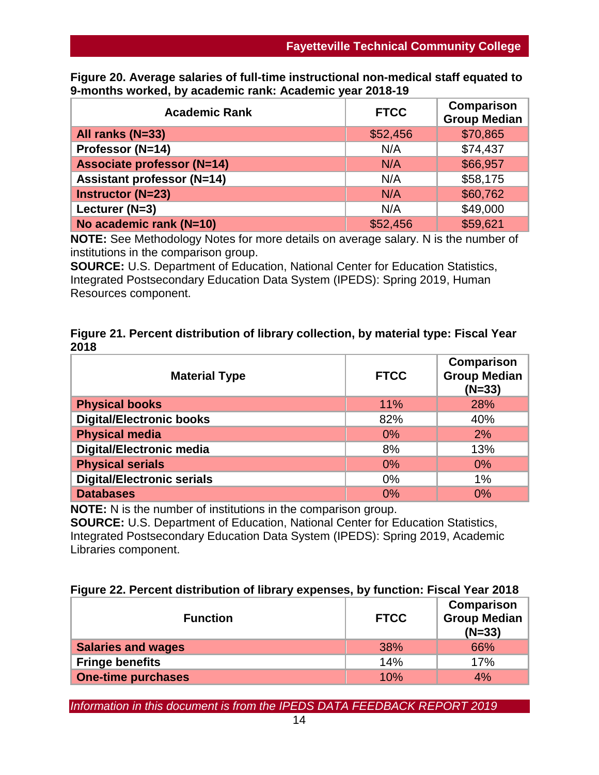| Figure 20. Average salaries of full-time instructional non-medical staff equated to |  |
|-------------------------------------------------------------------------------------|--|
| 9-months worked, by academic rank: Academic year 2018-19                            |  |

| <b>Academic Rank</b>              | <b>FTCC</b> | Comparison<br><b>Group Median</b> |
|-----------------------------------|-------------|-----------------------------------|
| All ranks (N=33)                  | \$52,456    | \$70,865                          |
| Professor (N=14)                  | N/A         | \$74,437                          |
| <b>Associate professor (N=14)</b> | N/A         | \$66,957                          |
| <b>Assistant professor (N=14)</b> | N/A         | \$58,175                          |
| <b>Instructor (N=23)</b>          | N/A         | \$60,762                          |
| Lecturer (N=3)                    | N/A         | \$49,000                          |
| No academic rank (N=10)           | \$52,456    | \$59,621                          |

**NOTE:** See Methodology Notes for more details on average salary. N is the number of institutions in the comparison group.

**SOURCE:** U.S. Department of Education, National Center for Education Statistics, Integrated Postsecondary Education Data System (IPEDS): Spring 2019, Human Resources component.

|      | Figure 21. Percent distribution of library collection, by material type: Fiscal Year |  |
|------|--------------------------------------------------------------------------------------|--|
| 2018 |                                                                                      |  |

| <b>Material Type</b>              | <b>FTCC</b> | Comparison<br><b>Group Median</b><br>$(N=33)$ |
|-----------------------------------|-------------|-----------------------------------------------|
| <b>Physical books</b>             | 11%         | 28%                                           |
| <b>Digital/Electronic books</b>   | 82%         | 40%                                           |
| <b>Physical media</b>             | 0%          | 2%                                            |
| <b>Digital/Electronic media</b>   | 8%          | 13%                                           |
| <b>Physical serials</b>           | 0%          | $0\%$                                         |
| <b>Digital/Electronic serials</b> | $0\%$       | 1%                                            |
| <b>Databases</b>                  | 0%          | 0%                                            |

**NOTE:** N is the number of institutions in the comparison group.

**SOURCE:** U.S. Department of Education, National Center for Education Statistics, Integrated Postsecondary Education Data System (IPEDS): Spring 2019, Academic Libraries component.

| Figure 22. Percent distribution of library expenses, by function: Fiscal Year 2018 |  |  |
|------------------------------------------------------------------------------------|--|--|
|------------------------------------------------------------------------------------|--|--|

| <b>Function</b>           | <b>FTCC</b> | Comparison<br><b>Group Median</b><br>$(N=33)$ |
|---------------------------|-------------|-----------------------------------------------|
| <b>Salaries and wages</b> | 38%         | 66%                                           |
| <b>Fringe benefits</b>    | 14%         | 17%                                           |
| <b>One-time purchases</b> | 10%         | 4%                                            |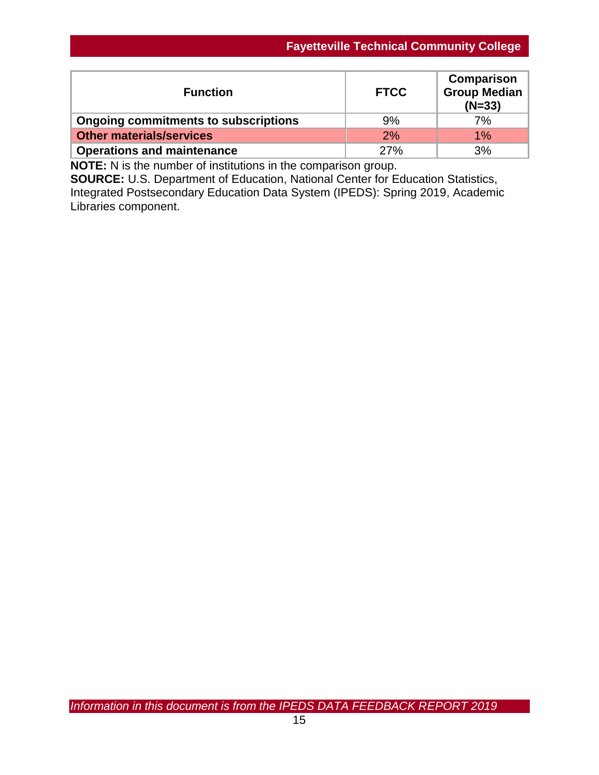| <b>Function</b>                             | <b>FTCC</b> | Comparison<br><b>Group Median</b><br>$(N=33)$ |
|---------------------------------------------|-------------|-----------------------------------------------|
| <b>Ongoing commitments to subscriptions</b> | 9%          | 7%                                            |
| <b>Other materials/services</b>             | 2%          | $1\%$                                         |
| <b>Operations and maintenance</b>           | 27%         | 3%                                            |

**NOTE:** N is the number of institutions in the comparison group.

**SOURCE:** U.S. Department of Education, National Center for Education Statistics, Integrated Postsecondary Education Data System (IPEDS): Spring 2019, Academic Libraries component.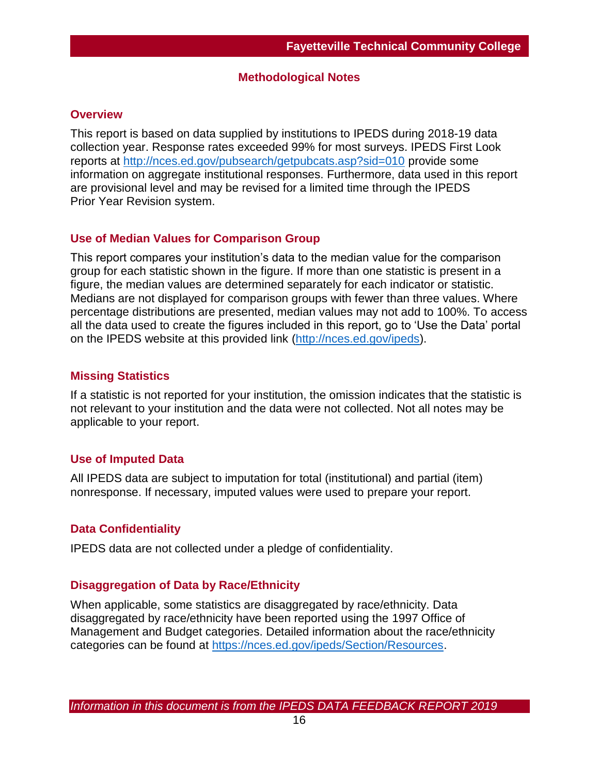### **Methodological Notes**

### **Overview**

This report is based on data supplied by institutions to IPEDS during 2018-19 data collection year. Response rates exceeded 99% for most surveys. IPEDS First Look reports at [http://nces.ed.gov/pubsearch/getpubcats.asp?sid=010](http://nces.ed.gov/pubsearch/getpubcats.asp?sid=010%20) provide some information on aggregate institutional responses. Furthermore, data used in this report are provisional level and may be revised for a limited time through the IPEDS Prior Year Revision system.

## **Use of Median Values for Comparison Group**

This report compares your institution's data to the median value for the comparison group for each statistic shown in the figure. If more than one statistic is present in a figure, the median values are determined separately for each indicator or statistic. Medians are not displayed for comparison groups with fewer than three values. Where percentage distributions are presented, median values may not add to 100%. To access all the data used to create the figures included in this report, go to 'Use the Data' portal on the IPEDS website at this provided link [\(http://nces.ed.gov/ipeds\)](http://nces.ed.gov/ipeds).

## **Missing Statistics**

If a statistic is not reported for your institution, the omission indicates that the statistic is not relevant to your institution and the data were not collected. Not all notes may be applicable to your report.

## **Use of Imputed Data**

All IPEDS data are subject to imputation for total (institutional) and partial (item) nonresponse. If necessary, imputed values were used to prepare your report.

## **Data Confidentiality**

IPEDS data are not collected under a pledge of confidentiality.

## **Disaggregation of Data by Race/Ethnicity**

When applicable, some statistics are disaggregated by race/ethnicity. Data disaggregated by race/ethnicity have been reported using the 1997 Office of Management and Budget categories. Detailed information about the race/ethnicity categories can be found at [https://nces.ed.gov/ipeds/Section/Resources.](https://nces.ed.gov/ipeds/Section/Resources)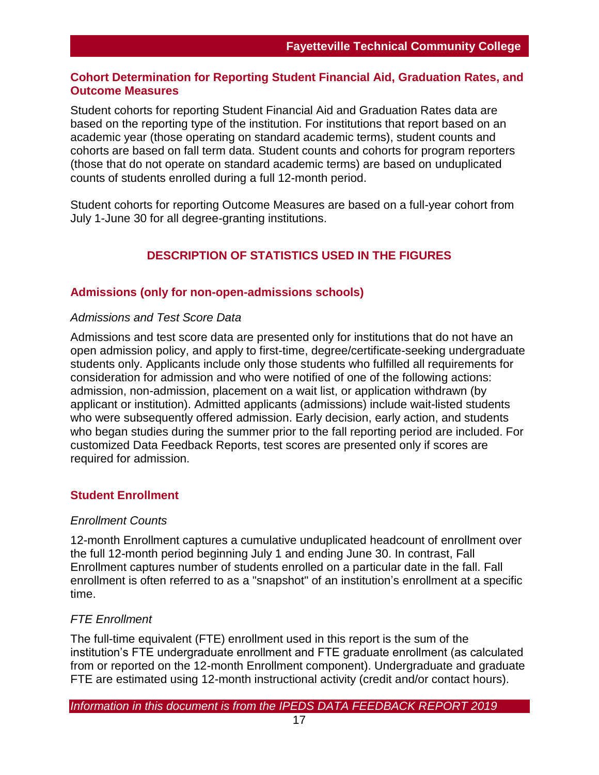## **Cohort Determination for Reporting Student Financial Aid, Graduation Rates, and Outcome Measures**

Student cohorts for reporting Student Financial Aid and Graduation Rates data are based on the reporting type of the institution. For institutions that report based on an academic year (those operating on standard academic terms), student counts and cohorts are based on fall term data. Student counts and cohorts for program reporters (those that do not operate on standard academic terms) are based on unduplicated counts of students enrolled during a full 12-month period.

Student cohorts for reporting Outcome Measures are based on a full-year cohort from July 1-June 30 for all degree-granting institutions.

## **DESCRIPTION OF STATISTICS USED IN THE FIGURES**

## **Admissions (only for non-open-admissions schools)**

#### *Admissions and Test Score Data*

Admissions and test score data are presented only for institutions that do not have an open admission policy, and apply to first-time, degree/certificate-seeking undergraduate students only. Applicants include only those students who fulfilled all requirements for consideration for admission and who were notified of one of the following actions: admission, non-admission, placement on a wait list, or application withdrawn (by applicant or institution). Admitted applicants (admissions) include wait-listed students who were subsequently offered admission. Early decision, early action, and students who began studies during the summer prior to the fall reporting period are included. For customized Data Feedback Reports, test scores are presented only if scores are required for admission.

#### **Student Enrollment**

#### *Enrollment Counts*

12-month Enrollment captures a cumulative unduplicated headcount of enrollment over the full 12-month period beginning July 1 and ending June 30. In contrast, Fall Enrollment captures number of students enrolled on a particular date in the fall. Fall enrollment is often referred to as a "snapshot" of an institution's enrollment at a specific time.

#### *FTE Enrollment*

The full-time equivalent (FTE) enrollment used in this report is the sum of the institution's FTE undergraduate enrollment and FTE graduate enrollment (as calculated from or reported on the 12-month Enrollment component). Undergraduate and graduate FTE are estimated using 12-month instructional activity (credit and/or contact hours).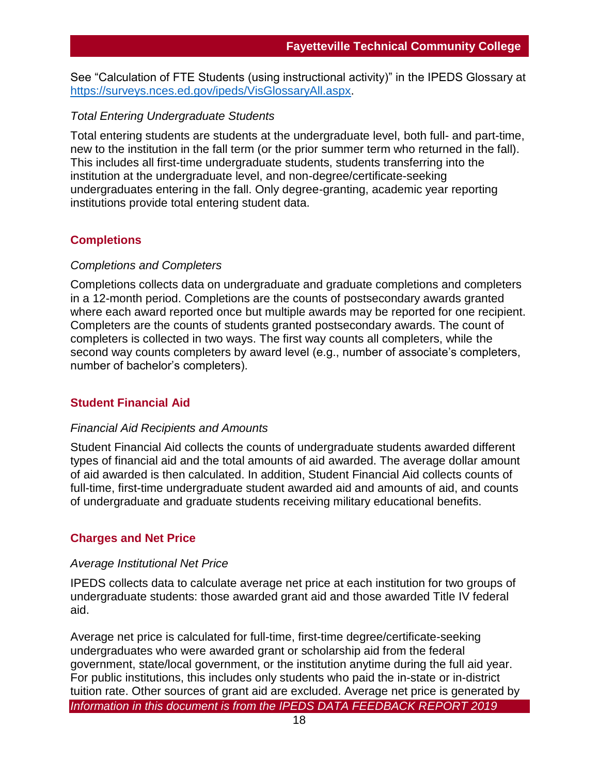See "Calculation of FTE Students (using instructional activity)" in the IPEDS Glossary at [https://surveys.nces.ed.gov/ipeds/VisGlossaryAll.aspx.](https://surveys.nces.ed.gov/ipeds/VisGlossaryAll.aspx)

## *Total Entering Undergraduate Students*

Total entering students are students at the undergraduate level, both full- and part-time, new to the institution in the fall term (or the prior summer term who returned in the fall). This includes all first-time undergraduate students, students transferring into the institution at the undergraduate level, and non-degree/certificate-seeking undergraduates entering in the fall. Only degree-granting, academic year reporting institutions provide total entering student data.

### **Completions**

#### *Completions and Completers*

Completions collects data on undergraduate and graduate completions and completers in a 12-month period. Completions are the counts of postsecondary awards granted where each award reported once but multiple awards may be reported for one recipient. Completers are the counts of students granted postsecondary awards. The count of completers is collected in two ways. The first way counts all completers, while the second way counts completers by award level (e.g., number of associate's completers, number of bachelor's completers).

#### **Student Financial Aid**

#### *Financial Aid Recipients and Amounts*

Student Financial Aid collects the counts of undergraduate students awarded different types of financial aid and the total amounts of aid awarded. The average dollar amount of aid awarded is then calculated. In addition, Student Financial Aid collects counts of full-time, first-time undergraduate student awarded aid and amounts of aid, and counts of undergraduate and graduate students receiving military educational benefits.

#### **Charges and Net Price**

#### *Average Institutional Net Price*

IPEDS collects data to calculate average net price at each institution for two groups of undergraduate students: those awarded grant aid and those awarded Title IV federal aid.

*Information in this document is from the IPEDS DATA FEEDBACK REPORT 2019* Average net price is calculated for full-time, first-time degree/certificate-seeking undergraduates who were awarded grant or scholarship aid from the federal government, state/local government, or the institution anytime during the full aid year. For public institutions, this includes only students who paid the in-state or in-district tuition rate. Other sources of grant aid are excluded. Average net price is generated by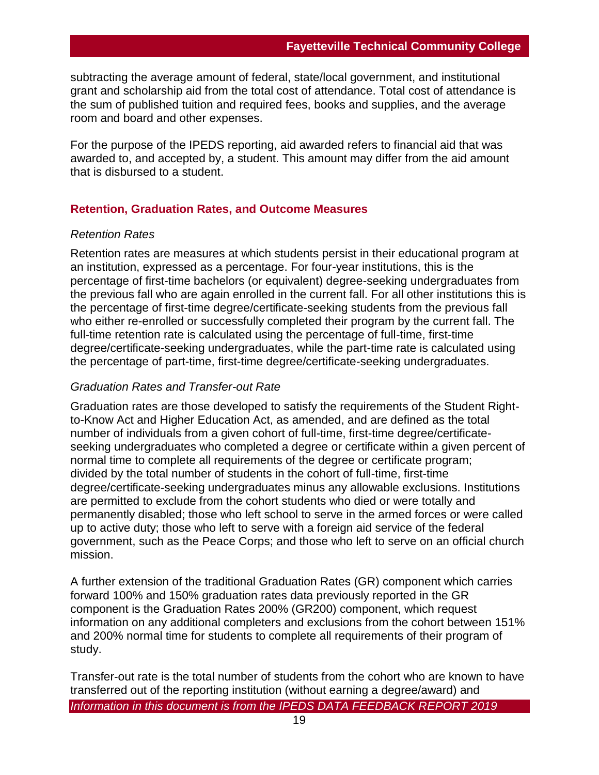subtracting the average amount of federal, state/local government, and institutional grant and scholarship aid from the total cost of attendance. Total cost of attendance is the sum of published tuition and required fees, books and supplies, and the average room and board and other expenses.

For the purpose of the IPEDS reporting, aid awarded refers to financial aid that was awarded to, and accepted by, a student. This amount may differ from the aid amount that is disbursed to a student.

#### **Retention, Graduation Rates, and Outcome Measures**

#### *Retention Rates*

Retention rates are measures at which students persist in their educational program at an institution, expressed as a percentage. For four-year institutions, this is the percentage of first-time bachelors (or equivalent) degree-seeking undergraduates from the previous fall who are again enrolled in the current fall. For all other institutions this is the percentage of first-time degree/certificate-seeking students from the previous fall who either re-enrolled or successfully completed their program by the current fall. The full-time retention rate is calculated using the percentage of full-time, first-time degree/certificate-seeking undergraduates, while the part-time rate is calculated using the percentage of part-time, first-time degree/certificate-seeking undergraduates.

#### *Graduation Rates and Transfer-out Rate*

Graduation rates are those developed to satisfy the requirements of the Student Rightto-Know Act and Higher Education Act, as amended, and are defined as the total number of individuals from a given cohort of full-time, first-time degree/certificateseeking undergraduates who completed a degree or certificate within a given percent of normal time to complete all requirements of the degree or certificate program; divided by the total number of students in the cohort of full-time, first-time degree/certificate-seeking undergraduates minus any allowable exclusions. Institutions are permitted to exclude from the cohort students who died or were totally and permanently disabled; those who left school to serve in the armed forces or were called up to active duty; those who left to serve with a foreign aid service of the federal government, such as the Peace Corps; and those who left to serve on an official church mission.

A further extension of the traditional Graduation Rates (GR) component which carries forward 100% and 150% graduation rates data previously reported in the GR component is the Graduation Rates 200% (GR200) component, which request information on any additional completers and exclusions from the cohort between 151% and 200% normal time for students to complete all requirements of their program of study.

*Information in this document is from the IPEDS DATA FEEDBACK REPORT 2019* Transfer-out rate is the total number of students from the cohort who are known to have transferred out of the reporting institution (without earning a degree/award) and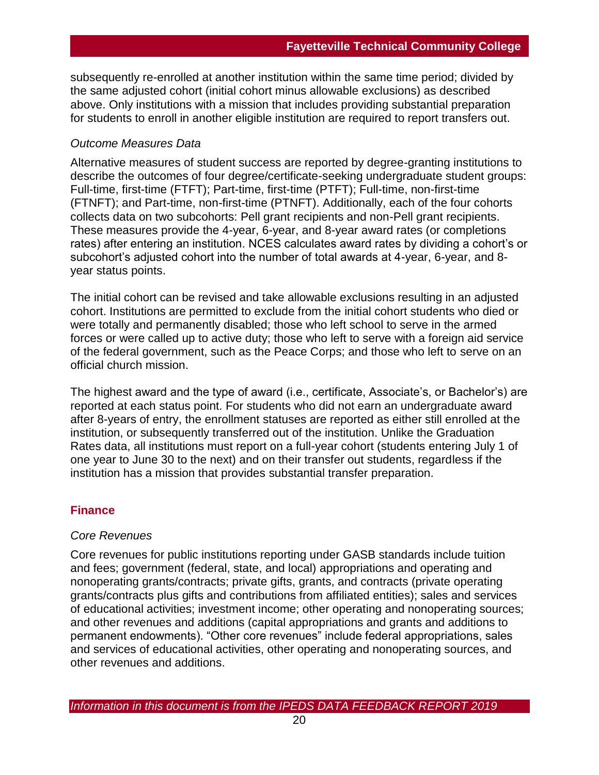subsequently re-enrolled at another institution within the same time period; divided by the same adjusted cohort (initial cohort minus allowable exclusions) as described above. Only institutions with a mission that includes providing substantial preparation for students to enroll in another eligible institution are required to report transfers out.

### *Outcome Measures Data*

Alternative measures of student success are reported by degree-granting institutions to describe the outcomes of four degree/certificate-seeking undergraduate student groups: Full-time, first-time (FTFT); Part-time, first-time (PTFT); Full-time, non-first-time (FTNFT); and Part-time, non-first-time (PTNFT). Additionally, each of the four cohorts collects data on two subcohorts: Pell grant recipients and non-Pell grant recipients. These measures provide the 4-year, 6-year, and 8-year award rates (or completions rates) after entering an institution. NCES calculates award rates by dividing a cohort's or subcohort's adjusted cohort into the number of total awards at 4-year, 6-year, and 8 year status points.

The initial cohort can be revised and take allowable exclusions resulting in an adjusted cohort. Institutions are permitted to exclude from the initial cohort students who died or were totally and permanently disabled; those who left school to serve in the armed forces or were called up to active duty; those who left to serve with a foreign aid service of the federal government, such as the Peace Corps; and those who left to serve on an official church mission.

The highest award and the type of award (i.e., certificate, Associate's, or Bachelor's) are reported at each status point. For students who did not earn an undergraduate award after 8-years of entry, the enrollment statuses are reported as either still enrolled at the institution, or subsequently transferred out of the institution. Unlike the Graduation Rates data, all institutions must report on a full-year cohort (students entering July 1 of one year to June 30 to the next) and on their transfer out students, regardless if the institution has a mission that provides substantial transfer preparation.

## **Finance**

#### *Core Revenues*

Core revenues for public institutions reporting under GASB standards include tuition and fees; government (federal, state, and local) appropriations and operating and nonoperating grants/contracts; private gifts, grants, and contracts (private operating grants/contracts plus gifts and contributions from affiliated entities); sales and services of educational activities; investment income; other operating and nonoperating sources; and other revenues and additions (capital appropriations and grants and additions to permanent endowments). "Other core revenues" include federal appropriations, sales and services of educational activities, other operating and nonoperating sources, and other revenues and additions.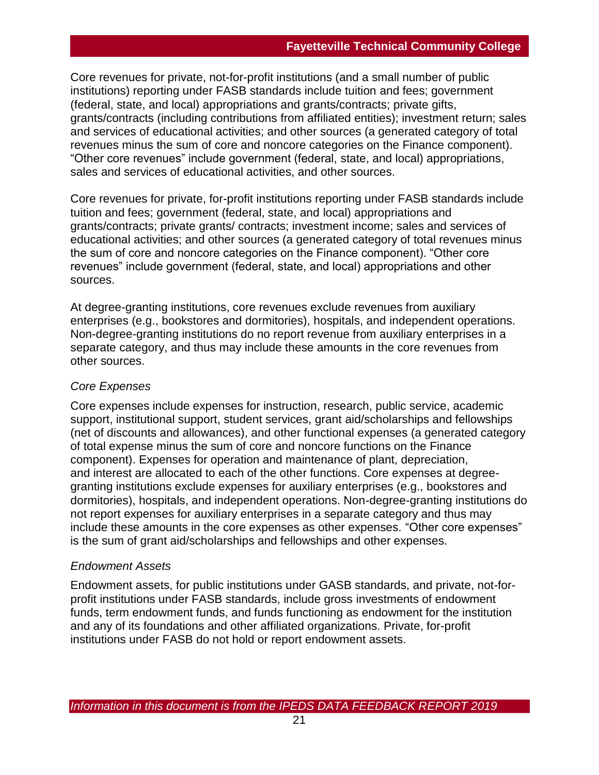Core revenues for private, not-for-profit institutions (and a small number of public institutions) reporting under FASB standards include tuition and fees; government (federal, state, and local) appropriations and grants/contracts; private gifts, grants/contracts (including contributions from affiliated entities); investment return; sales and services of educational activities; and other sources (a generated category of total revenues minus the sum of core and noncore categories on the Finance component). "Other core revenues" include government (federal, state, and local) appropriations, sales and services of educational activities, and other sources.

Core revenues for private, for-profit institutions reporting under FASB standards include tuition and fees; government (federal, state, and local) appropriations and grants/contracts; private grants/ contracts; investment income; sales and services of educational activities; and other sources (a generated category of total revenues minus the sum of core and noncore categories on the Finance component). "Other core revenues" include government (federal, state, and local) appropriations and other sources.

At degree-granting institutions, core revenues exclude revenues from auxiliary enterprises (e.g., bookstores and dormitories), hospitals, and independent operations. Non-degree-granting institutions do no report revenue from auxiliary enterprises in a separate category, and thus may include these amounts in the core revenues from other sources.

## *Core Expenses*

Core expenses include expenses for instruction, research, public service, academic support, institutional support, student services, grant aid/scholarships and fellowships (net of discounts and allowances), and other functional expenses (a generated category of total expense minus the sum of core and noncore functions on the Finance component). Expenses for operation and maintenance of plant, depreciation, and interest are allocated to each of the other functions. Core expenses at degreegranting institutions exclude expenses for auxiliary enterprises (e.g., bookstores and dormitories), hospitals, and independent operations. Non-degree-granting institutions do not report expenses for auxiliary enterprises in a separate category and thus may include these amounts in the core expenses as other expenses. "Other core expenses" is the sum of grant aid/scholarships and fellowships and other expenses.

## *Endowment Assets*

Endowment assets, for public institutions under GASB standards, and private, not-forprofit institutions under FASB standards, include gross investments of endowment funds, term endowment funds, and funds functioning as endowment for the institution and any of its foundations and other affiliated organizations. Private, for-profit institutions under FASB do not hold or report endowment assets.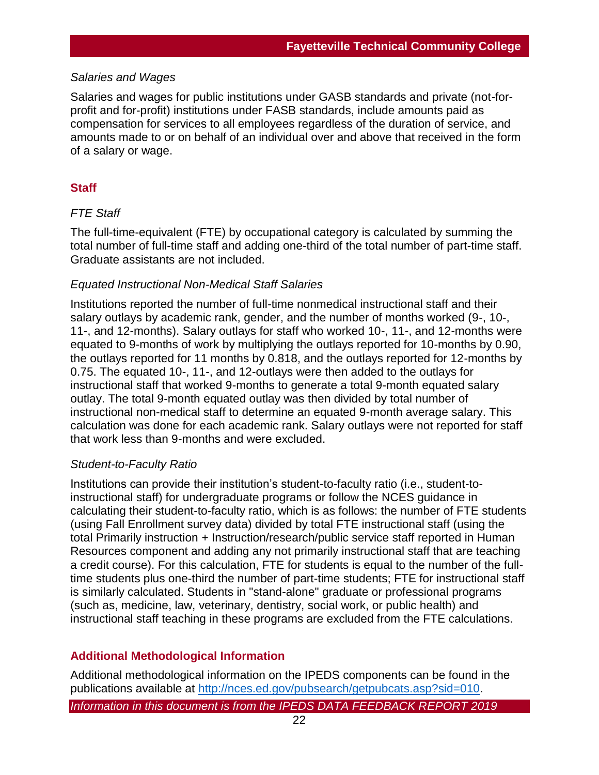## *Salaries and Wages*

Salaries and wages for public institutions under GASB standards and private (not-forprofit and for-profit) institutions under FASB standards, include amounts paid as compensation for services to all employees regardless of the duration of service, and amounts made to or on behalf of an individual over and above that received in the form of a salary or wage.

## **Staff**

### *FTE Staff*

The full-time-equivalent (FTE) by occupational category is calculated by summing the total number of full-time staff and adding one-third of the total number of part-time staff. Graduate assistants are not included.

### *Equated Instructional Non-Medical Staff Salaries*

Institutions reported the number of full-time nonmedical instructional staff and their salary outlays by academic rank, gender, and the number of months worked (9-, 10-, 11-, and 12-months). Salary outlays for staff who worked 10-, 11-, and 12-months were equated to 9-months of work by multiplying the outlays reported for 10-months by 0.90, the outlays reported for 11 months by 0.818, and the outlays reported for 12-months by 0.75. The equated 10-, 11-, and 12-outlays were then added to the outlays for instructional staff that worked 9-months to generate a total 9-month equated salary outlay. The total 9-month equated outlay was then divided by total number of instructional non-medical staff to determine an equated 9-month average salary. This calculation was done for each academic rank. Salary outlays were not reported for staff that work less than 9-months and were excluded.

## *Student-to-Faculty Ratio*

Institutions can provide their institution's student-to-faculty ratio (i.e., student-toinstructional staff) for undergraduate programs or follow the NCES guidance in calculating their student-to-faculty ratio, which is as follows: the number of FTE students (using Fall Enrollment survey data) divided by total FTE instructional staff (using the total Primarily instruction + Instruction/research/public service staff reported in Human Resources component and adding any not primarily instructional staff that are teaching a credit course). For this calculation, FTE for students is equal to the number of the fulltime students plus one-third the number of part-time students; FTE for instructional staff is similarly calculated. Students in "stand-alone" graduate or professional programs (such as, medicine, law, veterinary, dentistry, social work, or public health) and instructional staff teaching in these programs are excluded from the FTE calculations.

## **Additional Methodological Information**

Additional methodological information on the IPEDS components can be found in the publications available at [http://nces.ed.gov/pubsearch/getpubcats.asp?sid=010.](http://nces.ed.gov/pubsearch/getpubcats.asp?sid=010)